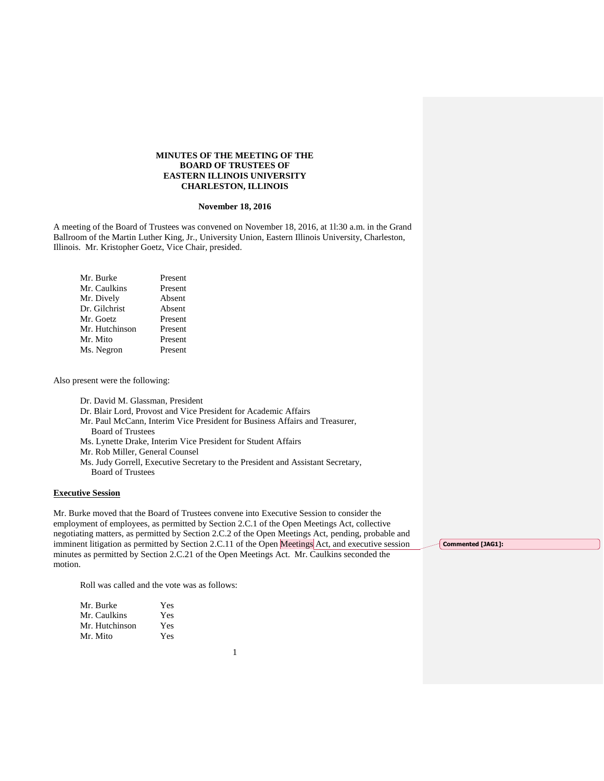## **MINUTES OF THE MEETING OF THE BOARD OF TRUSTEES OF EASTERN ILLINOIS UNIVERSITY CHARLESTON, ILLINOIS**

### **November 18, 2016**

A meeting of the Board of Trustees was convened on November 18, 2016, at 1l:30 a.m. in the Grand Ballroom of the Martin Luther King, Jr., University Union, Eastern Illinois University, Charleston, Illinois. Mr. Kristopher Goetz, Vice Chair, presided.

| Mr. Burke      | Present |
|----------------|---------|
| Mr. Caulkins   | Present |
| Mr. Dively     | Absent  |
| Dr. Gilchrist  | Absent  |
| Mr. Goetz      | Present |
| Mr. Hutchinson | Present |
| Mr. Mito       | Present |
| Ms. Negron     | Present |
|                |         |

Also present were the following:

Dr. David M. Glassman, President

Dr. Blair Lord, Provost and Vice President for Academic Affairs

Mr. Paul McCann, Interim Vice President for Business Affairs and Treasurer,

Board of Trustees

Ms. Lynette Drake, Interim Vice President for Student Affairs

Mr. Rob Miller, General Counsel

Ms. Judy Gorrell, Executive Secretary to the President and Assistant Secretary, Board of Trustees

# **Executive Session**

Mr. Burke moved that the Board of Trustees convene into Executive Session to consider the employment of employees, as permitted by Section 2.C.1 of the Open Meetings Act, collective negotiating matters, as permitted by Section 2.C.2 of the Open Meetings Act, pending, probable and imminent litigation as permitted by Section 2.C.11 of the Open Meetings Act, and executive session minutes as permitted by Section 2.C.21 of the Open Meetings Act. Mr. Caulkins seconded the motion.

Roll was called and the vote was as follows:

| Mr. Burke      | Yes |
|----------------|-----|
| Mr. Caulkins   | Yes |
| Mr. Hutchinson | Yes |
| Mr. Mito       | Yes |

1

**Commented [JAG1]:**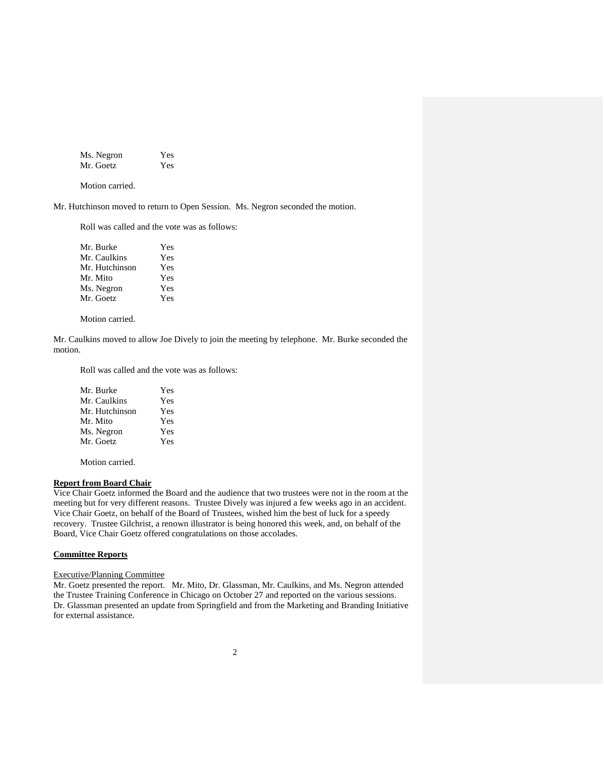| Ms. Negron | Yes |
|------------|-----|
| Mr. Goetz  | Yes |

Motion carried.

Mr. Hutchinson moved to return to Open Session. Ms. Negron seconded the motion.

Roll was called and the vote was as follows:

| Mr. Burke      | <b>Yes</b> |
|----------------|------------|
| Mr. Caulkins   | <b>Yes</b> |
| Mr. Hutchinson | <b>Yes</b> |
| Mr. Mito       | <b>Yes</b> |
| Ms. Negron     | <b>Yes</b> |
| Mr. Goetz      | Yes        |
|                |            |

Motion carried.

Mr. Caulkins moved to allow Joe Dively to join the meeting by telephone. Mr. Burke seconded the motion.

Roll was called and the vote was as follows:

| Yes |
|-----|
| Yes |
| Yes |
| Yes |
| Yes |
| Yes |
|     |

Motion carried.

# **Report from Board Chair**

Vice Chair Goetz informed the Board and the audience that two trustees were not in the room at the meeting but for very different reasons. Trustee Dively was injured a few weeks ago in an accident. Vice Chair Goetz, on behalf of the Board of Trustees, wished him the best of luck for a speedy recovery. Trustee Gilchrist, a renown illustrator is being honored this week, and, on behalf of the Board, Vice Chair Goetz offered congratulations on those accolades.

## **Committee Reports**

## Executive/Planning Committee

Mr. Goetz presented the report. Mr. Mito, Dr. Glassman, Mr. Caulkins, and Ms. Negron attended the Trustee Training Conference in Chicago on October 27 and reported on the various sessions. Dr. Glassman presented an update from Springfield and from the Marketing and Branding Initiative for external assistance.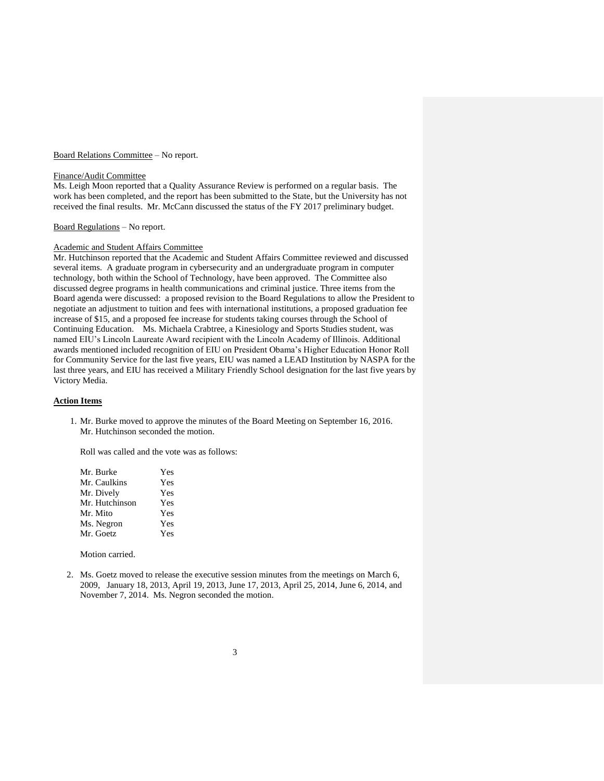### Board Relations Committee – No report.

#### Finance/Audit Committee

Ms. Leigh Moon reported that a Quality Assurance Review is performed on a regular basis. The work has been completed, and the report has been submitted to the State, but the University has not received the final results. Mr. McCann discussed the status of the FY 2017 preliminary budget.

### Board Regulations – No report.

### Academic and Student Affairs Committee

Mr. Hutchinson reported that the Academic and Student Affairs Committee reviewed and discussed several items. A graduate program in cybersecurity and an undergraduate program in computer technology, both within the School of Technology, have been approved. The Committee also discussed degree programs in health communications and criminal justice. Three items from the Board agenda were discussed: a proposed revision to the Board Regulations to allow the President to negotiate an adjustment to tuition and fees with international institutions, a proposed graduation fee increase of \$15, and a proposed fee increase for students taking courses through the School of Continuing Education. Ms. Michaela Crabtree, a Kinesiology and Sports Studies student, was named EIU's Lincoln Laureate Award recipient with the Lincoln Academy of Illinois. Additional awards mentioned included recognition of EIU on President Obama's Higher Education Honor Roll for Community Service for the last five years, EIU was named a LEAD Institution by NASPA for the last three years, and EIU has received a Military Friendly School designation for the last five years by Victory Media.

## **Action Items**

1. Mr. Burke moved to approve the minutes of the Board Meeting on September 16, 2016. Mr. Hutchinson seconded the motion.

Roll was called and the vote was as follows:

| Mr. Burke      | Yes |
|----------------|-----|
| Mr. Caulkins   | Yes |
| Mr. Dively     | Yes |
| Mr. Hutchinson | Yes |
| Mr. Mito       | Yes |
| Ms. Negron     | Yes |
| Mr. Goetz      | Yes |

Motion carried.

2. Ms. Goetz moved to release the executive session minutes from the meetings on March 6, 2009, January 18, 2013, April 19, 2013, June 17, 2013, April 25, 2014, June 6, 2014, and November 7, 2014. Ms. Negron seconded the motion.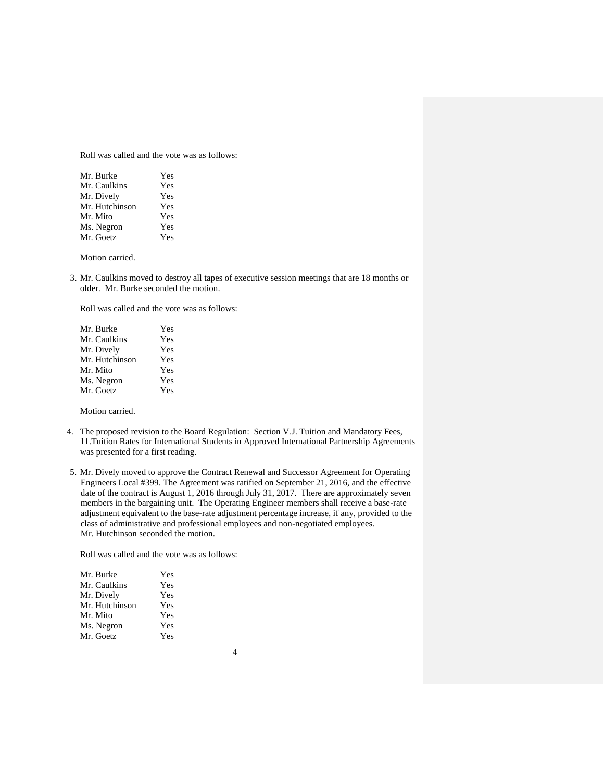Roll was called and the vote was as follows:

| Yes |
|-----|
| Yes |
| Yes |
| Yes |
| Yes |
| Yes |
| Yes |
|     |

Motion carried.

3. Mr. Caulkins moved to destroy all tapes of executive session meetings that are 18 months or older. Mr. Burke seconded the motion.

Roll was called and the vote was as follows:

| Mr. Burke      | Yes |
|----------------|-----|
| Mr. Caulkins   | Yes |
| Mr. Dively     | Yes |
| Mr. Hutchinson | Yes |
| Mr. Mito       | Yes |
| Ms. Negron     | Yes |
| Mr. Goetz      | Yes |

Motion carried.

- 4. The proposed revision to the Board Regulation: Section V.J. Tuition and Mandatory Fees, 11.Tuition Rates for International Students in Approved International Partnership Agreements was presented for a first reading.
- 5. Mr. Dively moved to approve the Contract Renewal and Successor Agreement for Operating Engineers Local #399. The Agreement was ratified on September 21, 2016, and the effective date of the contract is August 1, 2016 through July 31, 2017. There are approximately seven members in the bargaining unit. The Operating Engineer members shall receive a base-rate adjustment equivalent to the base-rate adjustment percentage increase, if any, provided to the class of administrative and professional employees and non-negotiated employees. Mr. Hutchinson seconded the motion.

Roll was called and the vote was as follows:

| Mr. Burke      | Yes |
|----------------|-----|
| Mr. Caulkins   | Yes |
| Mr. Dively     | Yes |
| Mr. Hutchinson | Yes |
| Mr. Mito       | Yes |
| Ms. Negron     | Yes |
| Mr. Goetz      | Yes |
|                |     |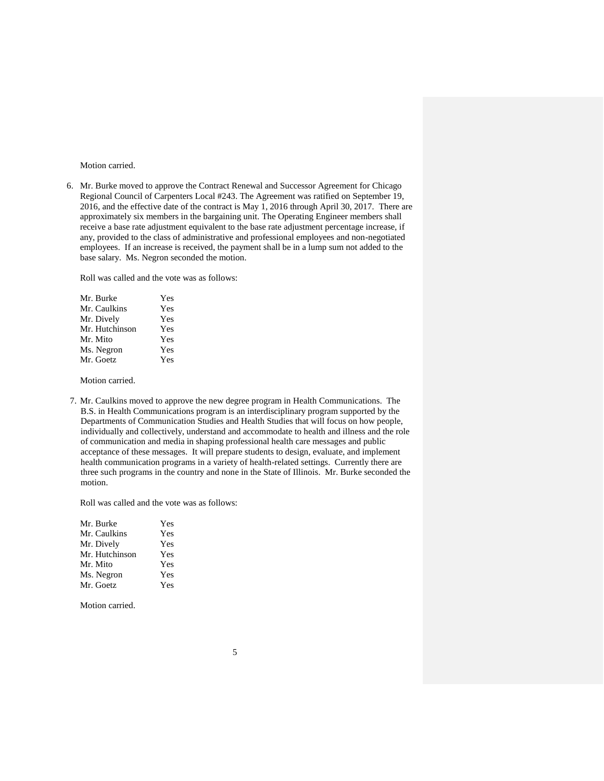Motion carried.

6. Mr. Burke moved to approve the Contract Renewal and Successor Agreement for Chicago Regional Council of Carpenters Local #243. The Agreement was ratified on September 19, 2016, and the effective date of the contract is May 1, 2016 through April 30, 2017. There are approximately six members in the bargaining unit. The Operating Engineer members shall receive a base rate adjustment equivalent to the base rate adjustment percentage increase, if any, provided to the class of administrative and professional employees and non-negotiated employees. If an increase is received, the payment shall be in a lump sum not added to the base salary. Ms. Negron seconded the motion.

Roll was called and the vote was as follows:

| Mr. Burke      | Yes |
|----------------|-----|
| Mr. Caulkins   | Yes |
| Mr. Dively     | Yes |
| Mr. Hutchinson | Yes |
| Mr. Mito       | Yes |
| Ms. Negron     | Yes |
| Mr. Goetz      | Yes |
|                |     |

Motion carried.

7. Mr. Caulkins moved to approve the new degree program in Health Communications. The B.S. in Health Communications program is an interdisciplinary program supported by the Departments of Communication Studies and Health Studies that will focus on how people, individually and collectively, understand and accommodate to health and illness and the role of communication and media in shaping professional health care messages and public acceptance of these messages. It will prepare students to design, evaluate, and implement health communication programs in a variety of health-related settings. Currently there are three such programs in the country and none in the State of Illinois. Mr. Burke seconded the motion.

Roll was called and the vote was as follows:

| Yes |
|-----|
| Yes |
| Yes |
| Yes |
| Yes |
| Yes |
| Yes |
|     |

Motion carried.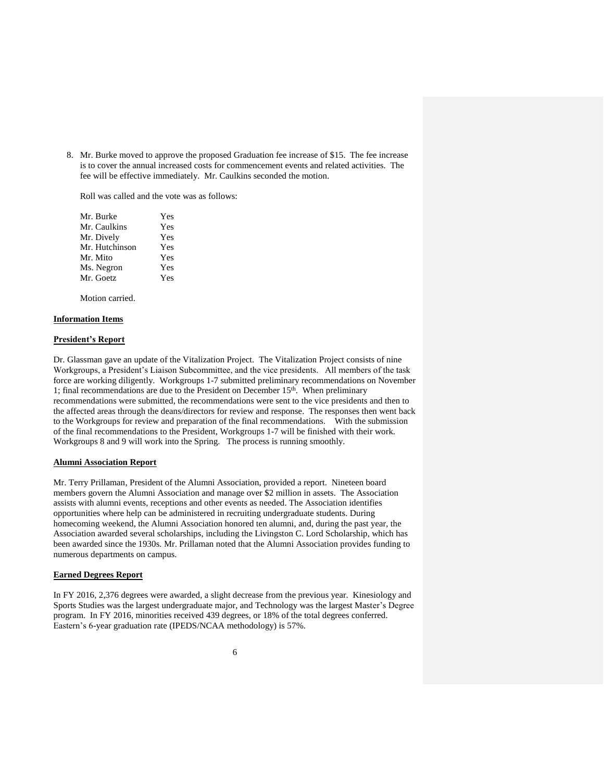8. Mr. Burke moved to approve the proposed Graduation fee increase of \$15. The fee increase is to cover the annual increased costs for commencement events and related activities. The fee will be effective immediately. Mr. Caulkins seconded the motion.

Roll was called and the vote was as follows:

| Mr. Burke      | Yes |
|----------------|-----|
| Mr. Caulkins   | Yes |
| Mr. Dively     | Yes |
| Mr. Hutchinson | Yes |
| Mr. Mito       | Yes |
| Ms. Negron     | Yes |
| Mr. Goetz      | Yes |
|                |     |

Motion carried.

## **Information Items**

# **President's Report**

Dr. Glassman gave an update of the Vitalization Project. The Vitalization Project consists of nine Workgroups, a President's Liaison Subcommittee, and the vice presidents. All members of the task force are working diligently. Workgroups 1-7 submitted preliminary recommendations on November 1; final recommendations are due to the President on December 15<sup>th</sup>. When preliminary recommendations were submitted, the recommendations were sent to the vice presidents and then to the affected areas through the deans/directors for review and response. The responses then went back to the Workgroups for review and preparation of the final recommendations. With the submission of the final recommendations to the President, Workgroups 1-7 will be finished with their work. Workgroups 8 and 9 will work into the Spring. The process is running smoothly.

## **Alumni Association Report**

Mr. Terry Prillaman, President of the Alumni Association, provided a report. Nineteen board members govern the Alumni Association and manage over \$2 million in assets. The Association assists with alumni events, receptions and other events as needed. The Association identifies opportunities where help can be administered in recruiting undergraduate students. During homecoming weekend, the Alumni Association honored ten alumni, and, during the past year, the Association awarded several scholarships, including the Livingston C. Lord Scholarship, which has been awarded since the 1930s. Mr. Prillaman noted that the Alumni Association provides funding to numerous departments on campus.

## **Earned Degrees Report**

In FY 2016, 2,376 degrees were awarded, a slight decrease from the previous year. Kinesiology and Sports Studies was the largest undergraduate major, and Technology was the largest Master's Degree program. In FY 2016, minorities received 439 degrees, or 18% of the total degrees conferred. Eastern's 6-year graduation rate (IPEDS/NCAA methodology) is 57%.